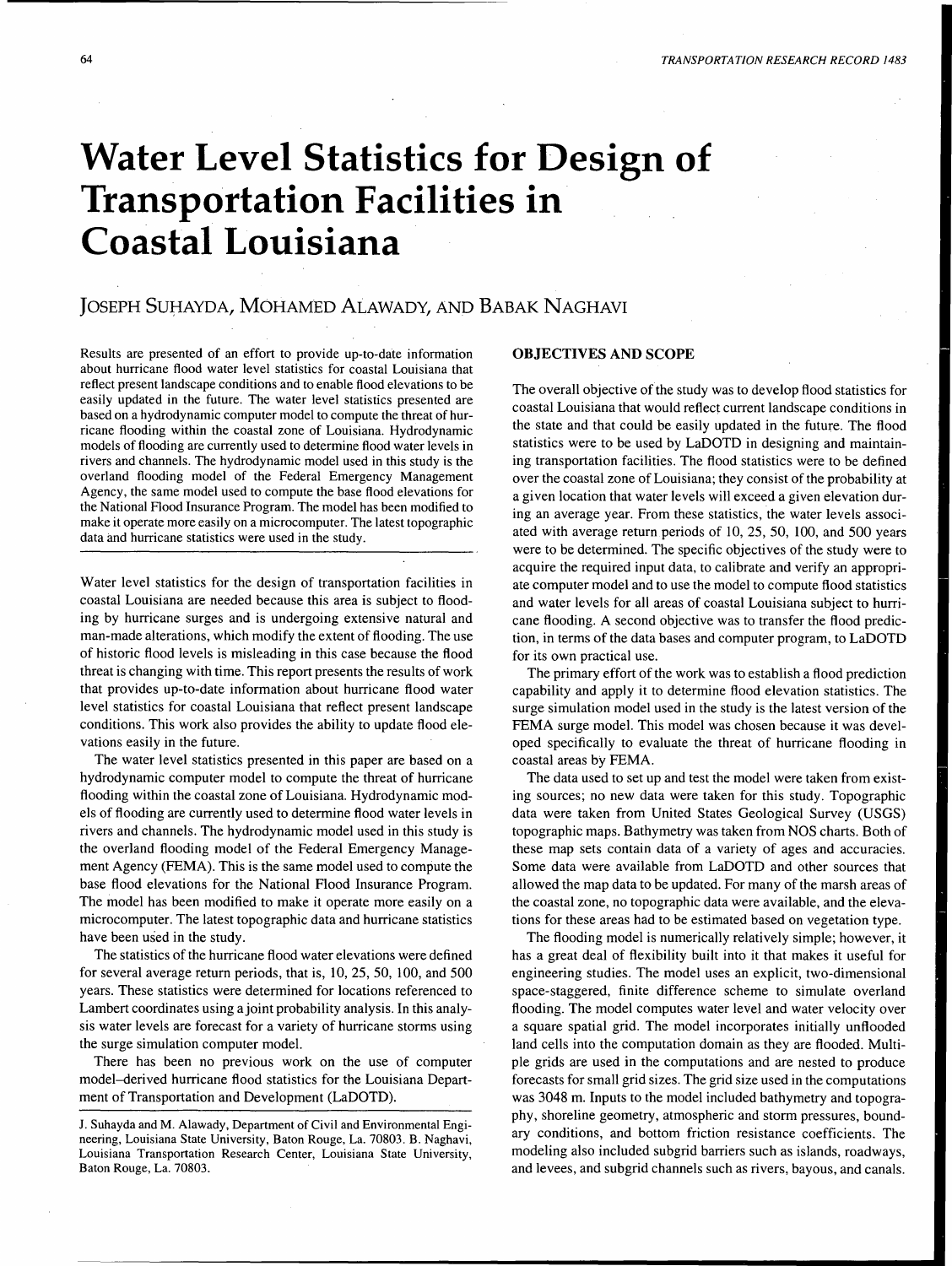# **Water Level Statistics for Design of Transportation Facilities in Coastal Louisiana**

# JOSEPH SUHAYDA, MOHAMED ALAWADY, AND BABAK NAGHAVI

Results are presented of an effort to provide up-to-date information about hurricane flood water level statistics for coastal Louisiana that reflect present landscape conditions and to enable flood elevations to be easily updated in the future. The water level statistics presented are based on a hydrodynamic computer model to compute the threat of hurricane flooding within the coastal zone of Louisiana. Hydrodynamic models of flooding are currently used to determine flood water levels in rivers and channels. The hydrodynamic model used in this study is the overland flooding model of the Federal Emergency Management Agency, the same model used to compute the base flood elevations for the National Flood Insurance Program. The model has been modified to make it operate more easily on a microcomputer. The latest topographic data and hurricane statistics were used in the study.

Water level statistics for the design of transportation facilities in coastal Louisiana are needed because this area is subject to flooding by hurricane surges and is undergoing extensive natural and man-made alterations, which modify the extent of flooding. The use of historic flood levels is misleading in this case because the flood threat is changing with time. This report presents the results of work that provides up-to-date information about hurricane flood water level statistics for coastal Louisiana that reflect present landscape conditions. This work also provides the ability to update flood elevations easily in the future.

The water level statistics presented in this paper are based on a hydrodynamic computer model to compute the threat of hurricane flooding within the coastal zone of Louisiana. Hydrodynamic models of flooding are currently used to determine flood water levels in rivers and channels. The hydrodynamic model used in this study is the overland flooding model of the Federal Emergency Management Agency (FEMA). This is the same model used to compute the base flood elevations for the National Flood Insurance Program. The model has been modified to make it operate more easily on a microcomputer. The latest topographic data and hurricane statistics have been used in the study.

The statistics of the hurricane flood water elevations were defined for several average return periods, that is, 10, 25, 50, 100, and 500 years. These statistics were determined for locations referenced to Lambert coordinates using a joint probability analysis. In this analysis water levels are forecast for a variety of hurricane storms using the surge simulation computer model.

There has been no previous work on the use of computer model-derived hurricane flood statistics for the Louisiana Department of Transportation and Development (LaDOTD).

# OBJECTIVES AND SCOPE

The overall objective of the study was to develop flood statistics for coastal Louisiana that would reflect current landscape conditions in the state and that could be easily updated in the future. The flood statistics were to be used by LaDOTD in designing and maintaining transportation facilities. The flood statistics were to be defined over the coastal zone of Louisiana; they consist of the probability at a given location that water levels will exceed a given elevation during an average year. From these statistics, the water levels associated with average return periods of 10, 25, 50, 100, and 500 years were to be determined. The specific objectives of the study were to acquire the required input data, to calibrate and verify an appropriate computer model and to use the model to compute flood statistics and water levels for all areas of coastal Louisiana subject to hurricane flooding. A second objective was to transfer the flood prediction, in terms of the data bases and computer program, to LaDOTD for its own practical use.

The primary effort of the work was to establish a flood prediction capability and apply it to determine flood elevation statistics. The surge simulation model used in the study is the latest version of the FEMA surge model. This model was chosen because it was developed specifically to evaluate the threat of hurricane flooding in coastal areas by FEMA.

The data used to set up and test the model were taken from existing sources; no new data were taken for this study. Topographic data were taken from United States Geological Survey (USGS) topographic maps. Bathymetry was taken from NOS charts. Both of these map sets contain data of a variety of ages and accuracies. Some data were available from LaDOTD and other sources that allowed the map data to be updated. For many of the marsh areas of the coastal zone, no topographic data were available, and the elevations for these areas had to be estimated based on vegetation type.

The flooding model is numerically relatively simple; however, it has a great deal of flexibility built into it that makes it useful for engineering studies. The model uses an explicit, two-dimensional space-staggered, finite difference scheme to simulate overland flooding. The model computes water level and water velocity over a square spatial grid. The model incorporates initially unflooded land cells into the computation domain as they are flooded. Multiple grids are used in the computations and are nested to produce forecasts for small grid sizes. The grid size used in the computations was 3048 m. Inputs to the model included bathymetry and topography, shoreline geometry, atmospheric and storm pressures, boundary conditions, and bottom friction resistance coefficients. The modeling also included subgrid barriers such as islands, roadways, and levees, and subgrid channels such as rivers, bayous, and canals.

J. Suhayda and M. Alawady, Department of Civil and Environmental Engineering, Louisiana State University, Baton Rouge, La. 70803. B. Naghavi, Louisiana Transportation Research Center, Louisiana State University, Baton Rouge, La. 70803.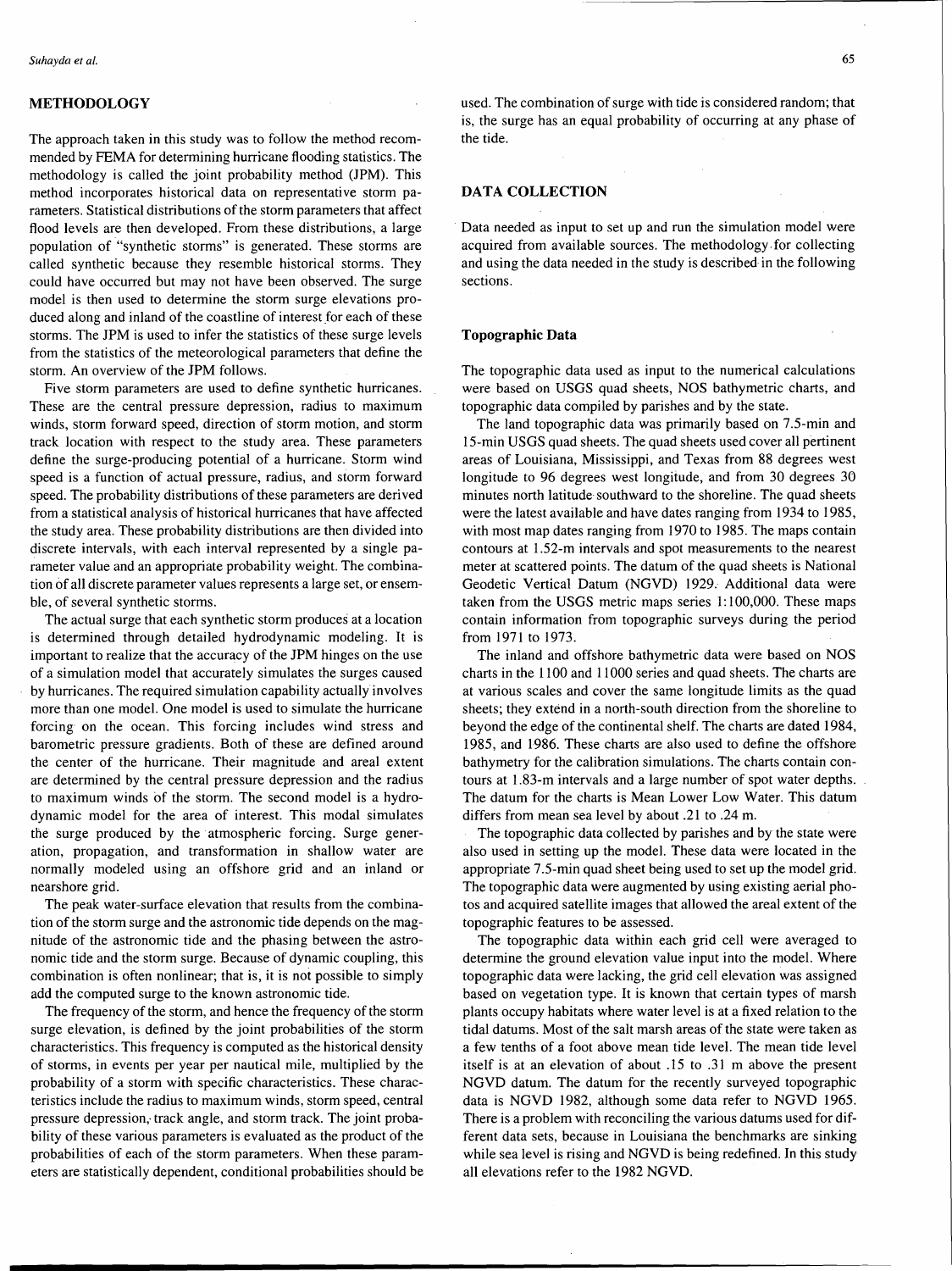# **METHODOLOGY**

The approach taken in this study was to follow the method recommended by FEMA for determining hurricane flooding statistics. The methodology is called the joint probability method (JPM). This method incorporates historical data on representative storm parameters. Statistical distributions of the storm parameters that affect flood levels are then developed. From these distributions, a large population of "synthetic storms" is generated. These storms are called synthetic because they resemble historical storms. They could have occurred but may not have been observed. The surge model is then used to determine the storm surge elevations produced along and inland of the coastline of interest for each of these storms. The JPM is used to infer the statistics of these surge levels from the statistics of the meteorological parameters that define the storm. An overview of the JPM follows.

Five storm parameters are used to define synthetic hurricanes. These are the central pressure depression, radius to maximum winds, storm forward speed, direction of storm motion, and storm track location with respect to the study area. These parameters define the surge-producing potential of a hurricane. Storm wind speed is a function of actual pressure, radius, and storm forward speed. The probability distributions of these parameters are derived from a statistical analysis of historical hurricanes that have affected the study area. These probability distributions are then divided into discrete intervals, with each interval represented by a single parameter value and an appropriate probability weight. The combination of all discrete parameter values represents a large set, or ensemble, of several synthetic storms.

The actual surge that each synthetic storm produces at a location is determined through detailed hydrodynamic modeling. It is important to realize that the accuracy of the JPM hinges on the use of a simulation model that accurately simulates the surges caused by hurricanes. The required simulation capability actually involves more than one model. One model is used to simulate the hurricane forcing on the ocean. This forcing includes wind stress and barometric pressure gradients. Both of these are defined around the center of the hurricane. Their magnitude and areal extent are determined by the central pressure depression and the radius to maximum winds of the storm. The second model is a hydrodynamic model for the area of interest. This modal simulates the surge produced by the ·atmospheric forcing. Surge generation, propagation, and transformation in shallow water are normally modeled using an offshore grid and an inland or nearshore grid.

The peak water-surface elevation that results from the combination of the storm surge and the astronomic tide depends on the magnitude of the astronomic tide and the phasing between the astronomic tide and the storm surge. Because of dynamic coupling, this combination is often nonlinear; that is, it is not possible to simply add the computed surge to the known astronomic tide.

The frequency of the storm, and hence the frequency of the storm surge elevation, is defined by the joint probabilities of the storm characteristics. This frequency is computed as the historical density of storms, in events per year per nautical mile, multiplied by the probability of a storm with specific characteristics. These characteristics include the radius to maximum winds, storm speed, central pressure depression, track angle, and storm track. The joint probability of these various parameters is evaluated as the product of the probabilities of each of the storm parameters. When these parameters are statistically dependent, conditional probabilities should be used. The combination of surge with tide is considered random; that is, the surge has an equal probability of occurring at any phase of the tide.

# **DATA COLLECTION**

Data needed as input to set up and run the simulation model were acquired from available sources. The methodology.for collecting and using the data needed in the study is described· in the following sections.

#### **Topographic Data**

The topographic data used as input to the numerical calculations were based on USGS quad sheets, NOS bathymetric charts, and topographic data compiled by parishes and by the state.

The land topographic data was primarily based on 7.5-min and 15-min USGS quad sheets. The quad sheets used cover all pertinent areas of Louisiana, Mississippi, and Texas from 88 degrees west longitude to 96 degrees west longitude, and from 30 degrees 30 minutes north latitude southward to the shoreline. The quad sheets were the latest available and have dates ranging from 1934 to 1985, with most map dates ranging from 1970 to 1985. The maps contain contours at 1.52-m intervals and spot measurements to the nearest meter at scattered points. The datum of the quad sheets is National Geodetic Vertical Datum (NGVD) 1929. Additional data were taken from the USGS metric maps series 1: 100,000. These maps contain information from topographic surveys during the period from 1971 to 1973.

The inland and offshore bathymetric data were based on NOS charts in the 1100 and 11000 series and quad sheets. The charts are at various scales and cover the same longitude limits as the quad sheets; they extend in a north-south direction from the shoreline to beyond the edge of the continental shelf. The charts are dated 1984, 1985, and 1986. These charts are also used to define the offshore bathymetry for the calibration simulations. The charts contain contours at 1.83-m intervals and a large number of spot water depths. The datum for the charts is Mean Lower Low Water. This datum differs from mean sea level by about .21 to .24 m.

The topographic data collected by parishes and by the state were also used in setting up the model. These data were located in the appropriate 7.5-min quad sheet being used to set up the model grid. The topographic data were augmented by using existing aerial photos and acquired satellite images that allowed the areal extent of the topographic features to be assessed.

The topographic data within each grid cell were averaged to determine the ground elevation value input into the model. Where topographic data were lacking, the grid cell elevation was assigned based on vegetation type. It is known that certain types of marsh plants occupy habitats where water level is at a fixed relation to the tidal datums. Most of the salt marsh areas of the state were taken as a few tenths of a foot above mean tide level. The mean tide level itself is at an elevation of about .15 to .31 m above the present NGVD datum. The datum for the recently surveyed topographic data is NGVD 1982, although some data refer to NGVD 1965. There is a problem with reconciling the various datums used for different data sets, because in Louisiana the benchmarks are sinking while sea level is rising and NGVD is being redefined. In this study all elevations refer to the 1982 NGVD.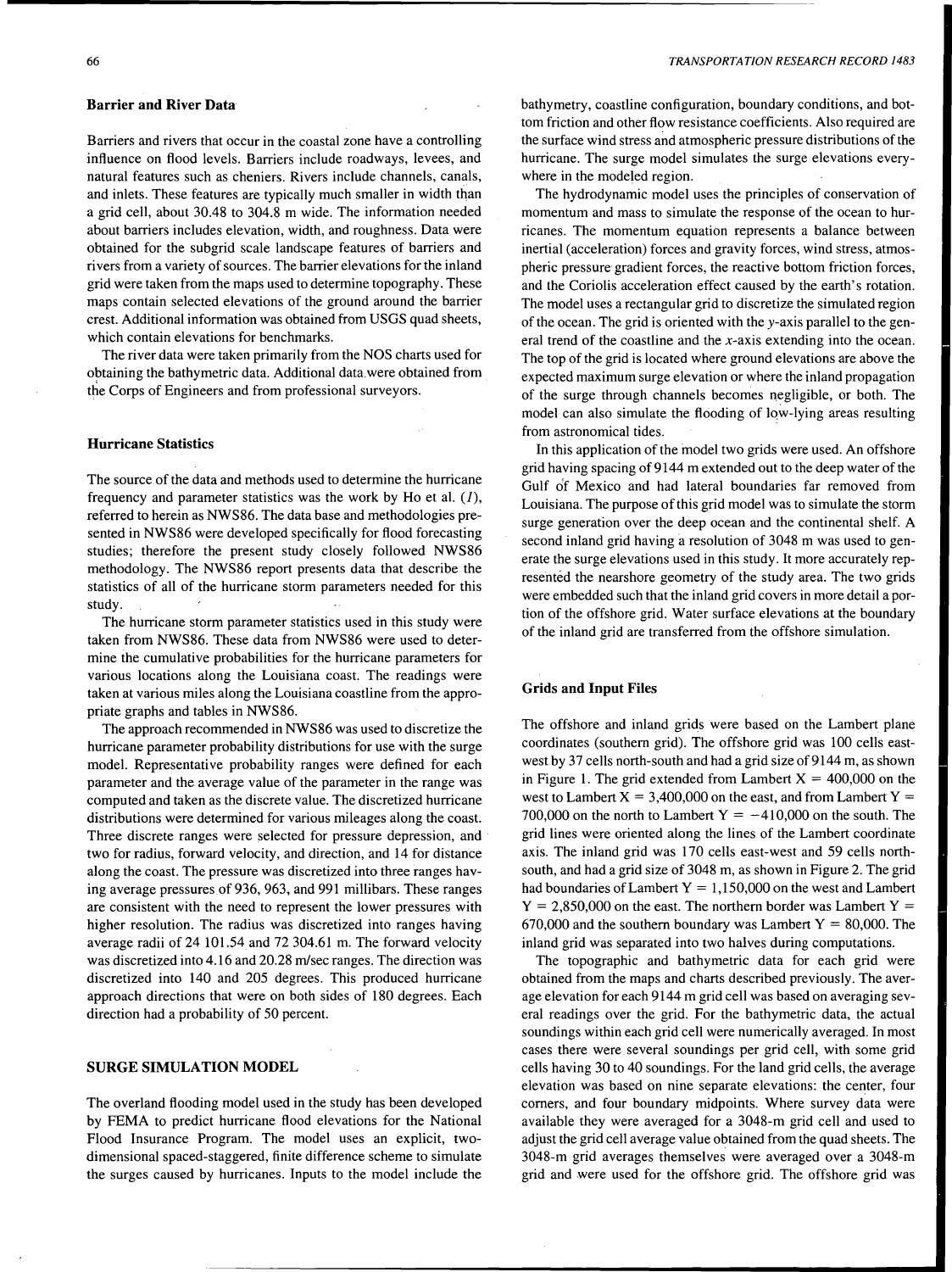# **Barrier and River Data**

Barriers and rivers that occur in the coastal zone have a controlling influence on flood levels. Barriers include roadways, levees, and natural features such as cheniers. Rivers include channels, canals, and inlets. These features are typically much smaller in width than a grid cell, about 30.48 to 304.8 m wide. The information needed about barriers includes elevation, width, and roughness. Data were obtained for the subgrid scale landscape features of barriers and rivers from a variety of sources. The barrier elevations for the inland grid were taken from the maps used to determine topography. These maps contain selected elevations of the ground around the barrier crest. Additional information was obtained from USGS quad sheets, which contain elevations for benchmarks.

The river data were taken primarily from the NOS charts used for obtaining the bathymetric data. Additional data.were obtained from the Corps of Engineers and from professional surveyors.

# **Hurricane Statistics**

The source of the data and methods used to determine the hurricane frequency and parameter statistics was the work by Ho et al.  $(1)$ , referred to herein as NWS86. The data base and methodologies presented in NWS86 were developed specifically for flood forecasting studies; therefore the present study closely followed NWS86 methodology. The NWS86 report presents data that describe the statistics of all of the hurricane storm parameters needed for this study.

The hurricane storm parameter statistics used in this study were taken from NWS86. These data from NWS86 were used to determine the cumulative probabilities for the hurricane parameters for various locations along the Louisiana coast. The readings were taken at various miles along the Louisiana coastline from the appropriate graphs and tables in NWS86.

The approach recommended in NWS86 was used to discretize the hurricane parameter probability distributions for use with the surge model. Representative probability ranges were defined for each parameter and the average value of the parameter in the range was computed and taken as the discrete value. The discretized hurricane distributions were determined for various mileages along the coast. Three discrete ranges were selected for pressure depression, and two for radius, forward velocity, and direction, and 14 for distance along the coast. The pressure was discretized into three ranges having average pressures of 936, 963, and 991 millibars. These ranges are consistent with the need to represent the lower pressures with higher resolution. The radius was discretized into ranges having average radii of 24 101.54 and 72 304.61 m. The forward velocity was discretized into 4.16 and 20.28 m/sec ranges. The direction was discretized into 140 and 205 degrees. This produced hurricane approach directions that were on both sides of 180 degrees. Each direction had a probability of 50 percent.

#### **SURGE SIMULATION MODEL**

The overland flooding model used in the study has been developed by FEMA to predict hurricane flood elevations for the National Flood Insurance Program. The model uses an explicit, twodimensional spaced-staggered, finite difference scheme to simulate the surges caused by hurricanes. Inputs to the model include the

bathymetry, coastline configuration, boundary conditions, and bottom friction and other flow resistance coefficients. Also required are the surface wind stress and atmospheric pressure distributions of the hurricane. The surge model simulates the surge elevations everywhere in the modeled region.

The hydrodynamic model uses the principles of conservation of momentum and mass to simulate the response of the ocean to hurricanes. The momentum equation represents a balance between inertial (acceleration) forces and gravity forces, wind stress, atmospheric pressure gradient forces, the reactive bottom friction forces, and the Coriolis acceleration effect caused by the earth's rotation. The model uses a rectangular grid to discretize the simulated region of the ocean. The grid is oriented with the y-axis parallel to the general trend of the coastline and the x-axis extending into the ocean. The top of the grid is located where ground elevations are above the expected maximum surge elevation or where the inland propagation of the surge through channels becomes negligible, or both. The model can also simulate the flooding of low-lying areas resulting from astronomical tides.

In this application of the model two grids were used. An offshore grid having spacing of 9144 m extended out to the deep water of the Gulf of Mexico and had lateral boundaries far removed from Louisiana. The purpose of this grid model was to simulate the storm surge generation over the deep ocean and the continental shelf. A second inland grid having a resolution of 3048 m was used to generate the surge elevations used in this study. It more accurately represented the nearshore geometry of the study area. The two grids were embedded such that the inland grid covers in more detail a portion of the offshore grid. Water surface elevations at the boundary of the inland grid are transferred from the offshore simulation.

## **Grids and Input Files**

The offshore and inland grids were based on the Lambert plane coordinates (southern grid). The offshore grid was 100 cells eastwest by 37 cells north-south and had a grid size of 9144 m, as shown in Figure 1. The grid extended from Lambert  $X = 400,000$  on the west to Lambert  $X = 3,400,000$  on the east, and from Lambert  $Y =$ 700,000 on the north to Lambert  $Y = -410,000$  on the south. The grid lines were oriented along the lines of the Lambert coordinate axis. The inland grid was 170 cells east-west and 59 cells northsouth, and had a grid size of 3048 m, as shown in Figure 2. The grid had boundaries of Lambert  $Y = 1,150,000$  on the west and Lambert  $Y = 2,850,000$  on the east. The northern border was Lambert  $Y =$ 670,000 and the southern boundary was Lambert  $Y = 80,000$ . The inland grid was separated into two halves during computations.

The topographic and bathymetric data for each grid were obtained from the maps and charts described previously. The average elevation for each 9144 m grid cell was based on averaging several readings over the grid. For the bathymetric data, the actual soundings within each grid cell were numerically averaged. In most cases there were several soundings per grid cell, with some grid cells having 30 to 40 soundings. For the land grid cells, the average elevation was based on nine separate elevations: the center, four corners, and four boundary midpoints. Where survey data were available they were averaged for a 3048-m grid cell and used to adjust the grid cell average value obtained from the quad sheets. The 3048-m grid averages themselves were averaged over a 3048-m grid and were used for the offshore grid. The offshore grid was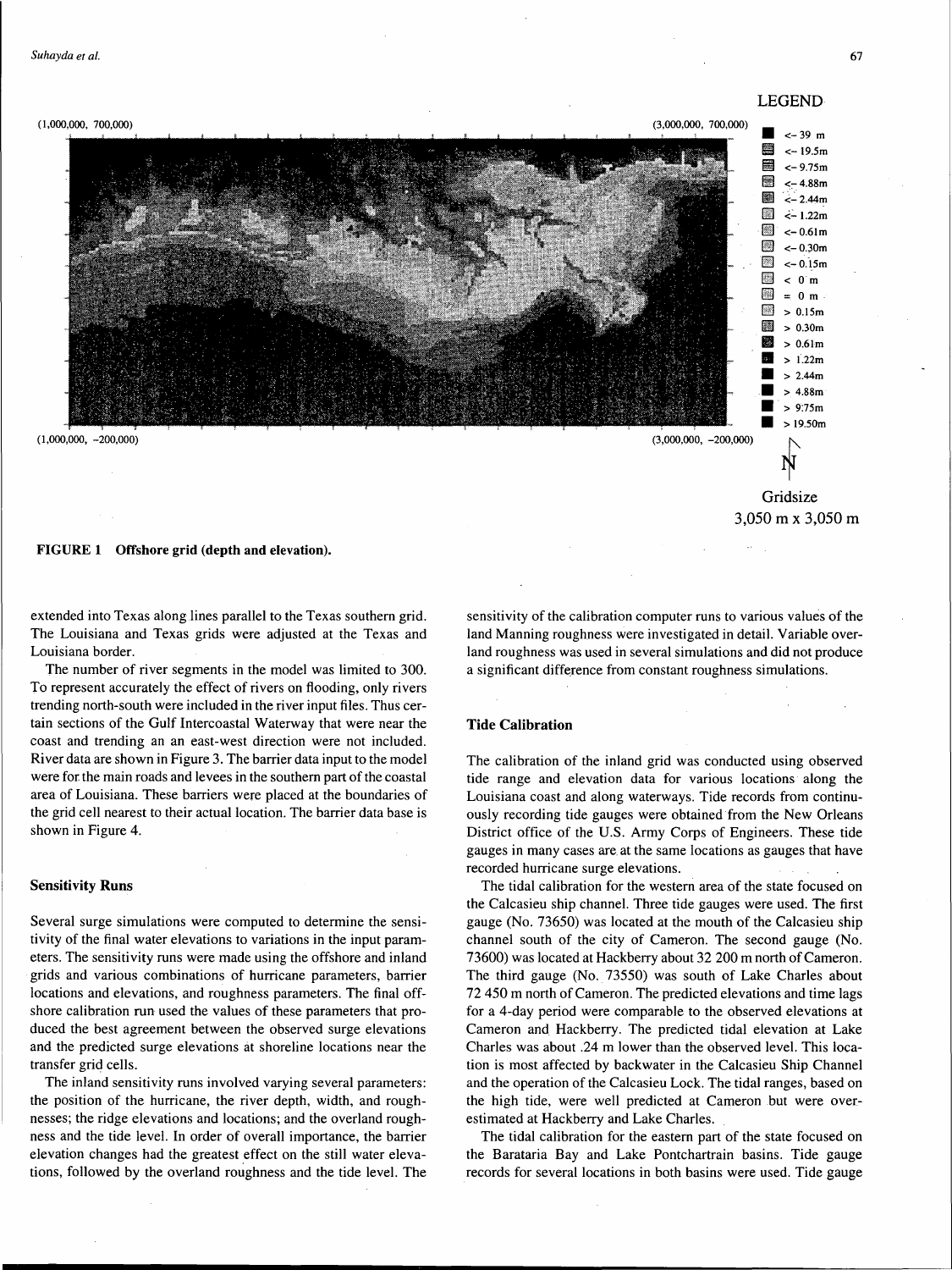67



extended into Texas along lines parallel to the Texas southern grid. The Louisiana and Texas grids were adjusted at the Texas and Louisiana border.

The number of river segments in the model was limited to 300. To represent accurately the effect of rivers on flooding, only rivers trending north-south were included in the river input files. Thus certain sections of the Gulf lntercoastal Waterway that were near the coast and trending an an east-west direction were not included. River data are shown in Figure 3. The barrier data input to the model were for the main roads and levees in the southern part of the coastal area of Louisiana. These barriers were placed at the boundaries of the grid cell nearest to their actual location. The barrier data base is shown in Figure 4.

## Sensitivity Runs

Several surge simulations were computed to determine the sensitivity of the final water elevations to variations in the input parameters. The sensitivity runs were made using the offshore and inland grids and various combinations of hurricane parameters, barrier locations and elevations, and roughness parameters. The final offshore calibration run used the values of these parameters that produced the best agreement between the observed surge elevations and the predicted surge elevations at shoreline locations near the transfer grid cells.

The inland sensitivity runs involved varying several parameters: the position of the hurricane, the river depth, width, and roughnesses; the ridge elevations and locations; and the overland roughness and the tide level. In order of overall importance, the barrier elevation changes had the greatest effect on the still water elevations, followed by the overland roughness and the tide level. The sensitivity of the calibration computer runs to various values of the land Manning roughness were investigated in detail. Variable overland roughness was used in several simulations and did not produce a significant difference from constant roughness simulations.

# Tide Calibration

The calibration of the inland grid was conducted using observed tide range and elevation data for various locations· along the Louisiana coast and along waterways. Tide records from continuously recording tide gauges were obtained from the New Orleans District office of the U.S. Army Corps of Engineers. These tide gauges in many cases are. at the same locations as gauges that have recorded hurricane surge elevations.

The tidal calibration for the western area of the state focused on the Calcasieu ship channel. Three tide gauges were used. The first gauge (No. 73650) was located at the mouth of the Calcasieu ship channel south of the city of Cameron. The second gauge (No. 73600) was located at Hackberry about 32 200 m north of Cameron. The third gauge (No. 73550) was south of Lake Charles about 72 450 m north of Cameron. The predicted elevations and time lags for a 4-day period were comparable to the observed elevations at Cameron and Hackberry. The predicted tidal elevation at Lake Charles was about .24 m lower than the observed level. This location is most affected by backwater in the Calcasieu Ship Channel and the operation of the Calcasieu Lock. The tidal ranges, based on the high tide, were well predicted at Cameron but were overestimated at Hackberry and Lake Charles.

The tidal calibration for the eastern part of the state focused on the Barataria Bay and Lake Pontchartrain basins. Tide gauge records for several locations in both basins were used. Tide gauge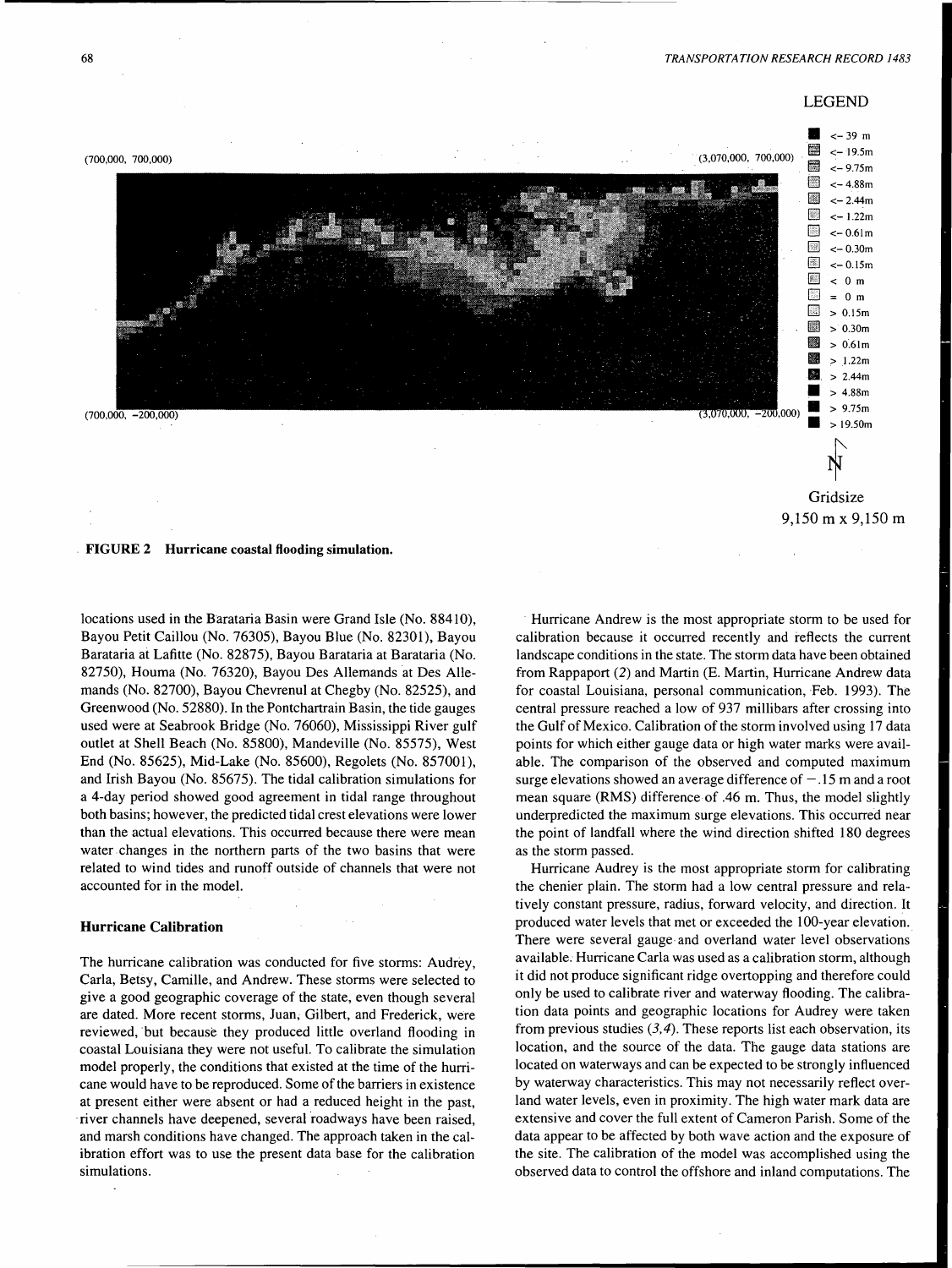

locations used in the Barataria Basin were Grand Isle (No. 88410), Bayou Petit Caillou (No. 76305), Bayou Blue (No. 82301), Bayou Barataria at Lafitte (No. 82875), Bayou Barataria at Barataria (No. 82750), Houma (No. 76320), Bayou Des Allemands at Des Allemands (No. 82700), Bayou Chevrenul at Chegby (No. 82525), and Greenwood (No. 52880). In the Pontchartrain Basin, the tide gauges used were at Seabrook Bridge (No. 76060), Mississippi River gulf outlet at Shell Beach (No. 85800), Mandeville (No. 85575), West End (No. 85625), Mid-Lake (No. 85600), Regolets (No. 857001), and Irish Bayou (No. 85675). The tidal calibration simulations for a 4-day period showed good agreement in tidal range throughout both basins; however, the predicted tidal crest elevations were lower than the actual elevations. This occurred because there were mean water changes in the northern parts of the two basins that were related to wind tides and runoff outside of channels that were not accounted for in the model.

# **Hurricane Calibration**

×,

The hurricane calibration was conducted for five storms: Audrey, Carla, Betsy, Camille, and Andrew. These storms were selected to give a good geographic coverage of the state, even though several are dated. More recent storms, Juan; Gilbert, and Frederick, were reviewed, but because they produced little overland flooding in coastal Louisiana they were not useful. To calibrate the simulation model properly, the conditions that existed at the time of the hurricane would have to be reproduced. Some of the barriers in existence at present either were absent or had a reduced height in the past, river channels have deepened, several roadways have been raised, and marsh conditions have changed. The approach taken in the calibration effort was to use the present data base for the calibration simulations.

Hurricane Andrew is the most appropriate storm to be used for calibration because it occurred recently and reflects the current landscape conditions in the state. The storm data have been obtained from Rappaport (2) and Martin (E. Martin, Hurricane Andrew data for coastal Louisiana, personal communication, Feb. 1993). The central pressure reached a low of 937 millibars after crossing into the Gulf of Mexico. Calibration of the storm involved using 17 data points for which either gauge data or high water marks were available. The comparison of the observed and computed maximum surge elevations showed an average difference of  $-.15$  m and a root mean square (RMS) difference of .46 m. Thus, the model slightly underpredicted the maximum surge elevations. This occurred near the point of landfall where the wind direction shifted 180 degrees as the storm passed.

Hurricane Audrey is the most appropriate storm for calibrating the chenier plain. The storm had a low central pressure and relatively constant pressure, radius, forward velocity, and direction. It produced water levels that met or exceeded the 100-year elevation. There were several gauge and overland water level observations available. Hurricane Carla was used as a calibration storm, although it did not produce significant ridge overtopping and therefore could only be used to calibrate river and waterway flooding. The calibration data points and geographic locations for Audrey were taken from previous studies  $(3,4)$ . These reports list each observation, its location, and the source of the data. The gauge data stations are located on waterways and can be expected to be strongly influenced by waterway characteristics. This may not necessarily reflect overland water levels, even in proximity. The high water mark data are extensive and cover the full extent of Cameron Parish. Some of the data appear to be affected by both wave action and the exposure of the site. The calibration of the model was accomplished using the observed data to control the offshore and inland computations. The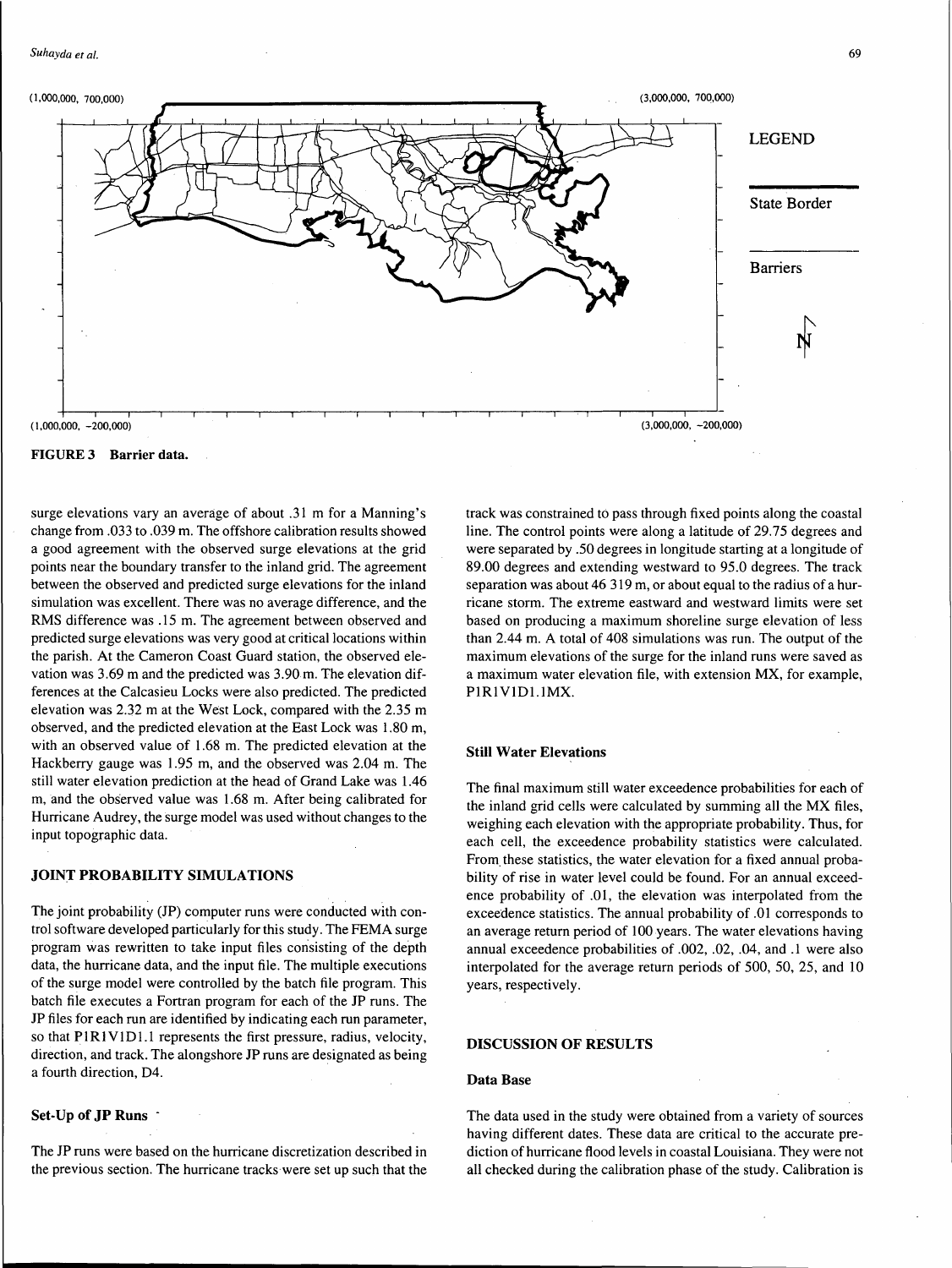

FIGURE 3 Barrier data.

surge elevations vary an average of about .31 m for a Manning's change from .033 to .039 m. The offshore calibration results showed a good agreement with the observed surge elevations at the grid points near the boundary transfer to the inland grid. The agreement between the observed and predicted surge elevations for the inland simulation was excellent. There was no average difference, and the RMS difference was .15 m. The agreement between observed and predicted surge elevations was very good at critical locations within the parish. At the Cameron Coast Guard station, the observed elevation was 3.69 m and the predicted was 3.90 m. The elevation differences at the Calcasieu Locks were also predicted. The predicted elevation was 2.32 mat the West Lock, compared with the 2.35 m observed, and the predicted elevation at the East Lock was 1.80 m, with an observed value of 1.68 m. The predicted elevation at the Hackberry gauge was 1.95 m, and the observed was 2.04 m. The still water elevation prediction at the head of Grand Lake was 1.46 m, and the observed value was 1.68 m. After being calibrated for Hurricane Audrey, the surge model was used without changes to the input topographic data.

#### JOINT PROBABILITY SIMULATIONS

The joint probability (JP) computer runs were conducted with control software developed particularly for this study. The FEMA surge program was rewritten to take input files consisting of the depth data, the hurricane data, and the input file. The multiple executions of the surge model were controlled by the batch file program. This batch file executes a Fortran program for each of the JP runs. The JP files for each run are identified by indicating each run parameter, so that PIRIVID1.1 represents the first pressure, radius, velocity, direction, and track. The alongshore JP runs are designated as being a fourth direction, D4.

## Set-Up of JP Runs -

The JP runs were based on the hurricane discretization described in the previous section. The hurricane tracks were set up such that the track was constrained to pass through fixed points along the coastal line. The control points were along a latitude of 29.75 degrees and were separated by .50 degrees in longitude starting at a longitude of 89.00 degrees and extending westward to 95.0 degrees. The track separation was about 46 319 m, or about equal to the radius of a hurricane storm. The extreme eastward and westward limits were set based on producing a maximum shoreline surge elevation of less than 2.44 m. A total of 408 simulations was run. The output of the maximum elevations of the surge for the inland runs were saved as a maximum water elevation file, with extension MX, for example, PIR<sub>1</sub>V<sub>1D1</sub>.1MX.

#### Still Water Elevations

The final maximum still water exceedence probabilities for each of the inland grid cells were calculated by summing all the MX files, weighing each elevation with the appropriate probability. Thus, for each cell, the exceedence probability statistics were calculated. From. these statistics, the water elevation for a fixed annual probability of rise in water level could be found. For an annual exceedence probability of .01, the elevation was interpolated from the exceedence statistics. The annual probability of .01 corresponds to an average return period of 100 years. The water elevations having annual exceedence probabilities of .002, .02, .04, and .1 were also interpolated for the average return periods of 500, 50, 25, and 10 years, respectively.

# DISCUSSION OF RESULTS

#### Data Base

The data used in the study were obtained from a variety of sources having different dates. These data are critical to the accurate prediction of hurricane flood levels in coastal Louisiana. They were not all checked during the calibration phase of the study. Calibration is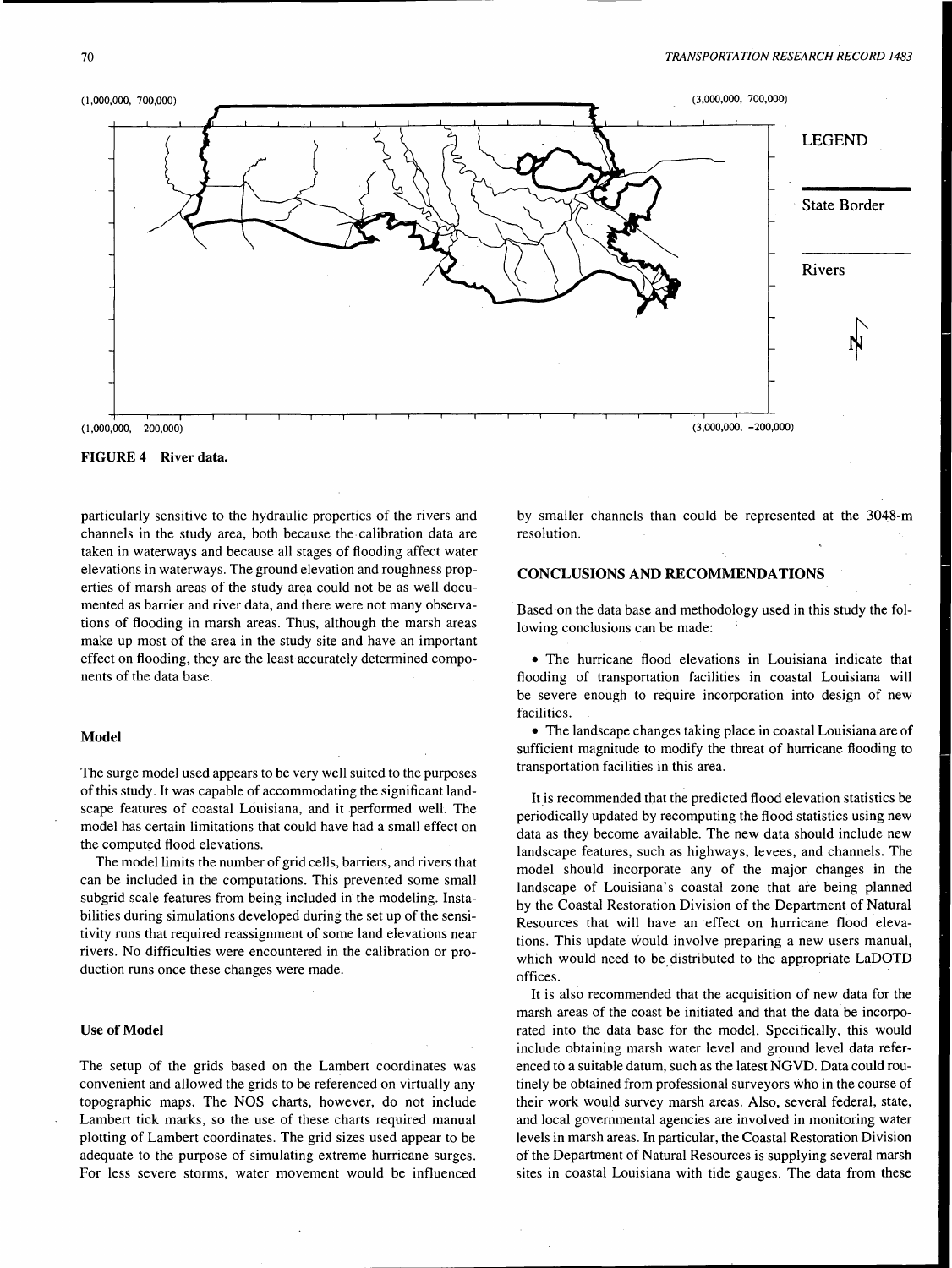

FIGURE 4 River data.

particularly sensitive to the hydraulic properties of the rivers and channels in the study area, both because the calibration data are taken in waterways and because all stages of flooding affect water elevations in waterways. The ground elevation and roughness properties of marsh areas of the study area could not be as well documented as barrier and river data, and there were not many observations of flooding in marsh areas. Thus, although the marsh areas make up most of the area in the study site and have an important effect on flooding, they are the least accurately determined components of the data base.

## Model

The surge model used appears to be very well suited to the purposes of this study. It was capable of accommodating the significant landscape features of coastal Louisiana, and it performed well. The model has certain limitations that could have had a small effect on the computed flood elevations.

The model limits the number of grid cells, barriers, and rivers that can be included in the computations. This prevented some small subgrid scale features from being included in the modeling. Instabilities during simulations developed during the set up of the sensitivity runs that required reassignment of some land elevations near rivers. No difficulties were encountered in the calibration or production runs once these changes were made.

#### Use of Model

The setup of the grids based on the Lambert coordinates was convenient and allowed the grids to be referenced on virtually any topographic maps. The NOS charts, however, do not include Lambert tick marks, so the use of these charts required manual plotting of Lambert coordinates. The grid sizes used appear to be adequate to the purpose of simulating extreme hurricane surges. For less severe storms, water movement would be influenced by smaller channels than could be represented at the 3048-m resolution.

# CONCLUSIONS AND RECOMMENDATIONS

Based on the data base and methodology used in this study the following conclusions can be made:

• The hurricane flood elevations in Louisiana indicate that flooding of transportation facilities in coastal Louisiana will be severe enough to require incorporation into design of new facilities.

• The landscape changes taking place in coastal Louisiana are of sufficient magnitude to modify the threat of hurricane flooding to transportation facilities in this area.

It is recommended that the predicted flood elevation statistics be periodically updated by recomputing the flood statistics using new data as they become available. The new data should include new landscape features, such as highways, levees, and channels. The model should incorporate any of the major changes in the landscape of Louisiana's coastal zone that are being planned by the Coastal Restoration Division of the Department of Natural Resources that will have an effect on hurricane fiood elevations. This update would involve preparing a new users manual, which would need to be distributed to the appropriate LaDOTD offices.

It is also recommended that the acquisition of new data for the marsh areas of the coast be initiated and that the data be incorporated into the data base for the model. Specifically, this would include obtaining marsh water level and ground level data referenced to a suitable datum, such as the latest NGVD. Data could routinely be obtained from professional surveyors who in the course of their work would survey marsh areas. Also, several federal, state, and local governmental agencies are involved in monitoring water levels in marsh areas. In particular, the Coastal Restoration Division of the Department of Natural Resources is supplying several marsh sites in coastal Louisiana with tide gauges. The data from these